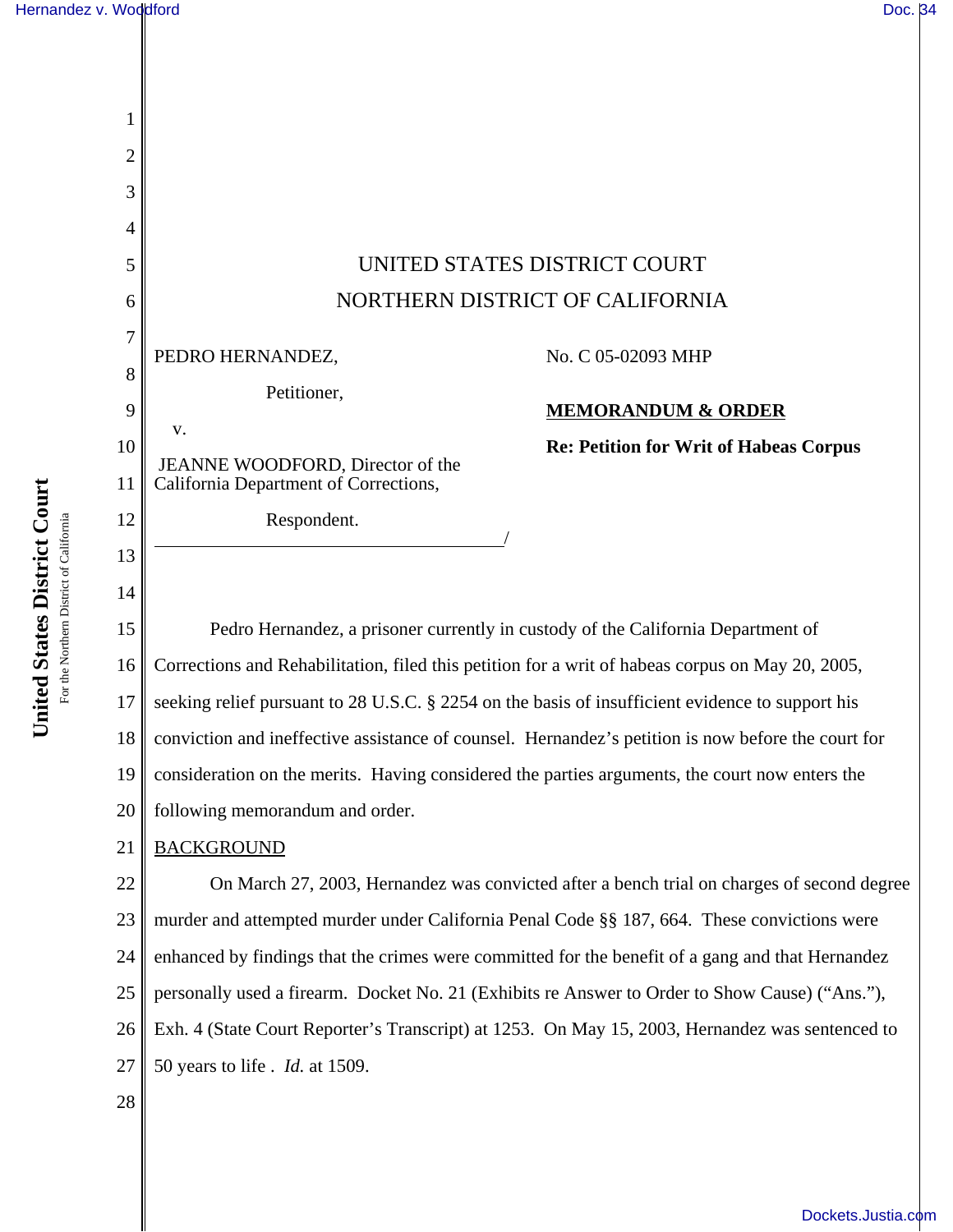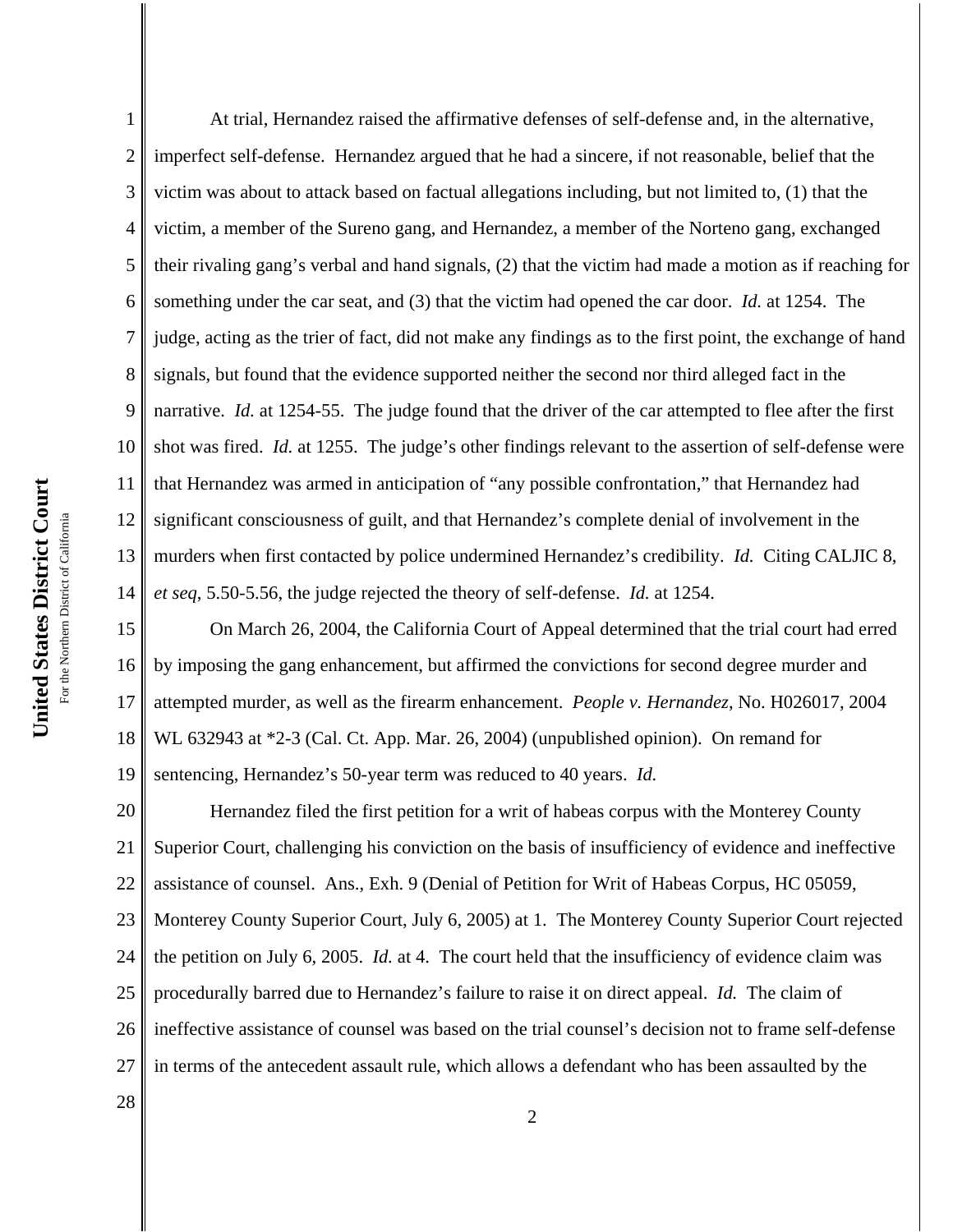1 2 3 4 5 6 7 8 9 10 11 12 13 14 At trial, Hernandez raised the affirmative defenses of self-defense and, in the alternative, imperfect self-defense. Hernandez argued that he had a sincere, if not reasonable, belief that the victim was about to attack based on factual allegations including, but not limited to, (1) that the victim, a member of the Sureno gang, and Hernandez, a member of the Norteno gang, exchanged their rivaling gang's verbal and hand signals, (2) that the victim had made a motion as if reaching for something under the car seat, and (3) that the victim had opened the car door. *Id.* at 1254. The judge, acting as the trier of fact, did not make any findings as to the first point, the exchange of hand signals, but found that the evidence supported neither the second nor third alleged fact in the narrative. *Id.* at 1254-55. The judge found that the driver of the car attempted to flee after the first shot was fired. *Id.* at 1255. The judge's other findings relevant to the assertion of self-defense were that Hernandez was armed in anticipation of "any possible confrontation," that Hernandez had significant consciousness of guilt, and that Hernandez's complete denial of involvement in the murders when first contacted by police undermined Hernandez's credibility. *Id.* Citing CALJIC 8, *et seq*, 5.50-5.56, the judge rejected the theory of self-defense. *Id.* at 1254.

15 16 17 18 19 On March 26, 2004, the California Court of Appeal determined that the trial court had erred by imposing the gang enhancement, but affirmed the convictions for second degree murder and attempted murder, as well as the firearm enhancement. *People v. Hernandez*, No. H026017, 2004 WL 632943 at \*2-3 (Cal. Ct. App. Mar. 26, 2004) (unpublished opinion). On remand for sentencing, Hernandez's 50-year term was reduced to 40 years. *Id.*

20 21 22 23 24 25 26 27 Hernandez filed the first petition for a writ of habeas corpus with the Monterey County Superior Court, challenging his conviction on the basis of insufficiency of evidence and ineffective assistance of counsel. Ans., Exh. 9 (Denial of Petition for Writ of Habeas Corpus, HC 05059, Monterey County Superior Court, July 6, 2005) at 1. The Monterey County Superior Court rejected the petition on July 6, 2005. *Id.* at 4. The court held that the insufficiency of evidence claim was procedurally barred due to Hernandez's failure to raise it on direct appeal. *Id.* The claim of ineffective assistance of counsel was based on the trial counsel's decision not to frame self-defense in terms of the antecedent assault rule, which allows a defendant who has been assaulted by the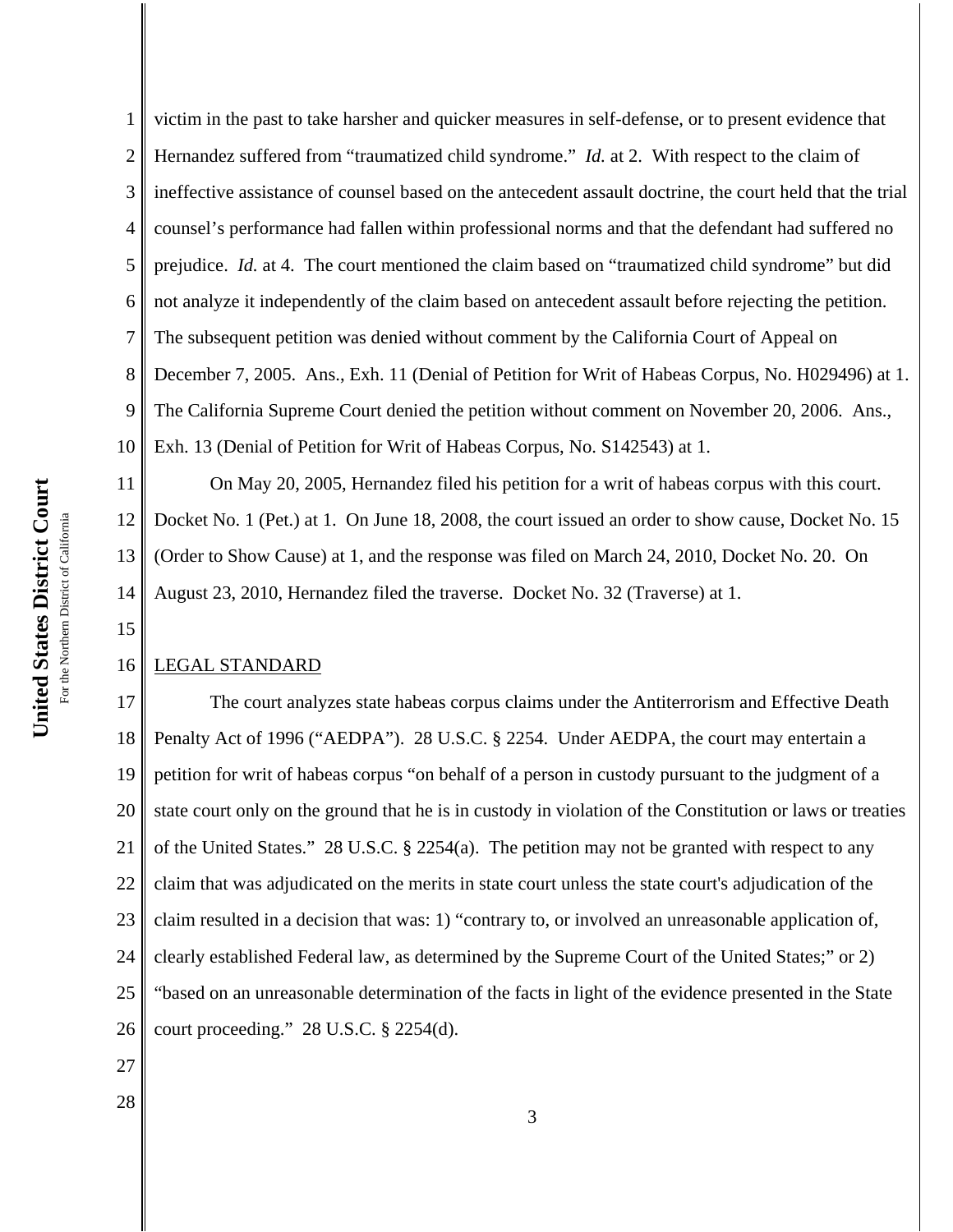15

1 2 3 4 5 6 7 8 9 10 victim in the past to take harsher and quicker measures in self-defense, or to present evidence that Hernandez suffered from "traumatized child syndrome." *Id.* at 2. With respect to the claim of ineffective assistance of counsel based on the antecedent assault doctrine, the court held that the trial counsel's performance had fallen within professional norms and that the defendant had suffered no prejudice. *Id.* at 4. The court mentioned the claim based on "traumatized child syndrome" but did not analyze it independently of the claim based on antecedent assault before rejecting the petition. The subsequent petition was denied without comment by the California Court of Appeal on December 7, 2005. Ans., Exh. 11 (Denial of Petition for Writ of Habeas Corpus, No. H029496) at 1. The California Supreme Court denied the petition without comment on November 20, 2006. Ans., Exh. 13 (Denial of Petition for Writ of Habeas Corpus, No. S142543) at 1.

11 12 13 14 On May 20, 2005, Hernandez filed his petition for a writ of habeas corpus with this court. Docket No. 1 (Pet.) at 1. On June 18, 2008, the court issued an order to show cause, Docket No. 15 (Order to Show Cause) at 1, and the response was filed on March 24, 2010, Docket No. 20. On August 23, 2010, Hernandez filed the traverse. Docket No. 32 (Traverse) at 1.

### 16 LEGAL STANDARD

17 18 19 20 21 22 23 24 25 26 The court analyzes state habeas corpus claims under the Antiterrorism and Effective Death Penalty Act of 1996 ("AEDPA"). 28 U.S.C. § 2254. Under AEDPA, the court may entertain a petition for writ of habeas corpus "on behalf of a person in custody pursuant to the judgment of a state court only on the ground that he is in custody in violation of the Constitution or laws or treaties of the United States." 28 U.S.C. § 2254(a). The petition may not be granted with respect to any claim that was adjudicated on the merits in state court unless the state court's adjudication of the claim resulted in a decision that was: 1) "contrary to, or involved an unreasonable application of, clearly established Federal law, as determined by the Supreme Court of the United States;" or 2) "based on an unreasonable determination of the facts in light of the evidence presented in the State court proceeding." 28 U.S.C. § 2254(d).

- 27
- 28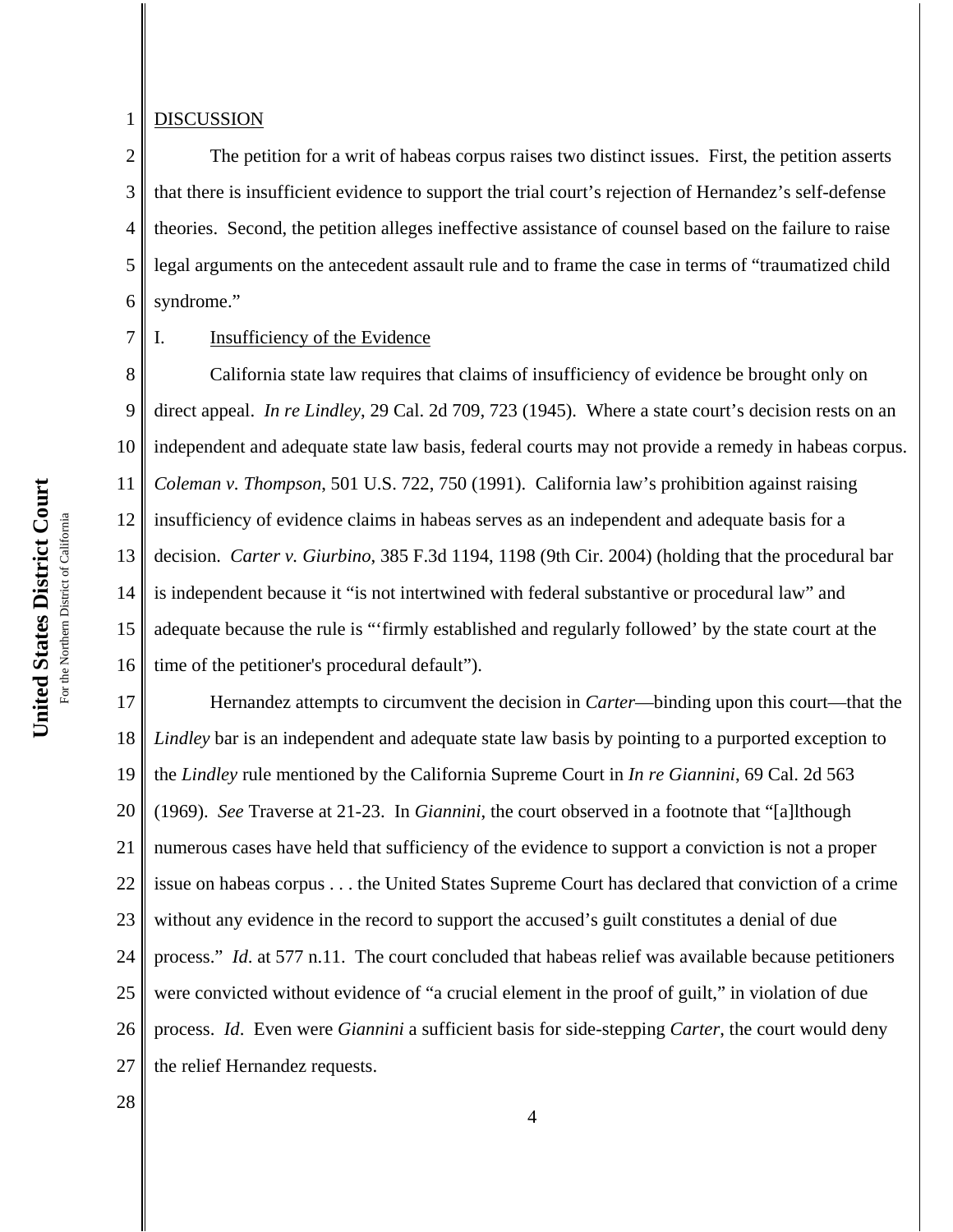### 1 **DISCUSSION**

7

2 3 4 5 6 The petition for a writ of habeas corpus raises two distinct issues. First, the petition asserts that there is insufficient evidence to support the trial court's rejection of Hernandez's self-defense theories. Second, the petition alleges ineffective assistance of counsel based on the failure to raise legal arguments on the antecedent assault rule and to frame the case in terms of "traumatized child syndrome."

I. Insufficiency of the Evidence

8 9 10 11 12 13 14 15 16 California state law requires that claims of insufficiency of evidence be brought only on direct appeal. *In re Lindley*, 29 Cal. 2d 709, 723 (1945). Where a state court's decision rests on an independent and adequate state law basis, federal courts may not provide a remedy in habeas corpus. *Coleman v. Thompson*, 501 U.S. 722, 750 (1991). California law's prohibition against raising insufficiency of evidence claims in habeas serves as an independent and adequate basis for a decision. *Carter v. Giurbino*, 385 F.3d 1194, 1198 (9th Cir. 2004) (holding that the procedural bar is independent because it "is not intertwined with federal substantive or procedural law" and adequate because the rule is "'firmly established and regularly followed' by the state court at the time of the petitioner's procedural default").

17 18 19 20 21 22 23 24 25 26 27 Hernandez attempts to circumvent the decision in *Carter*—binding upon this court—that the *Lindley* bar is an independent and adequate state law basis by pointing to a purported exception to the *Lindley* rule mentioned by the California Supreme Court in *In re Giannini*, 69 Cal. 2d 563 (1969). *See* Traverse at 21-23. In *Giannini*, the court observed in a footnote that "[a]lthough numerous cases have held that sufficiency of the evidence to support a conviction is not a proper issue on habeas corpus . . . the United States Supreme Court has declared that conviction of a crime without any evidence in the record to support the accused's guilt constitutes a denial of due process." *Id*. at 577 n.11. The court concluded that habeas relief was available because petitioners were convicted without evidence of "a crucial element in the proof of guilt," in violation of due process. *Id*. Even were *Giannini* a sufficient basis for side-stepping *Carter*, the court would deny the relief Hernandez requests.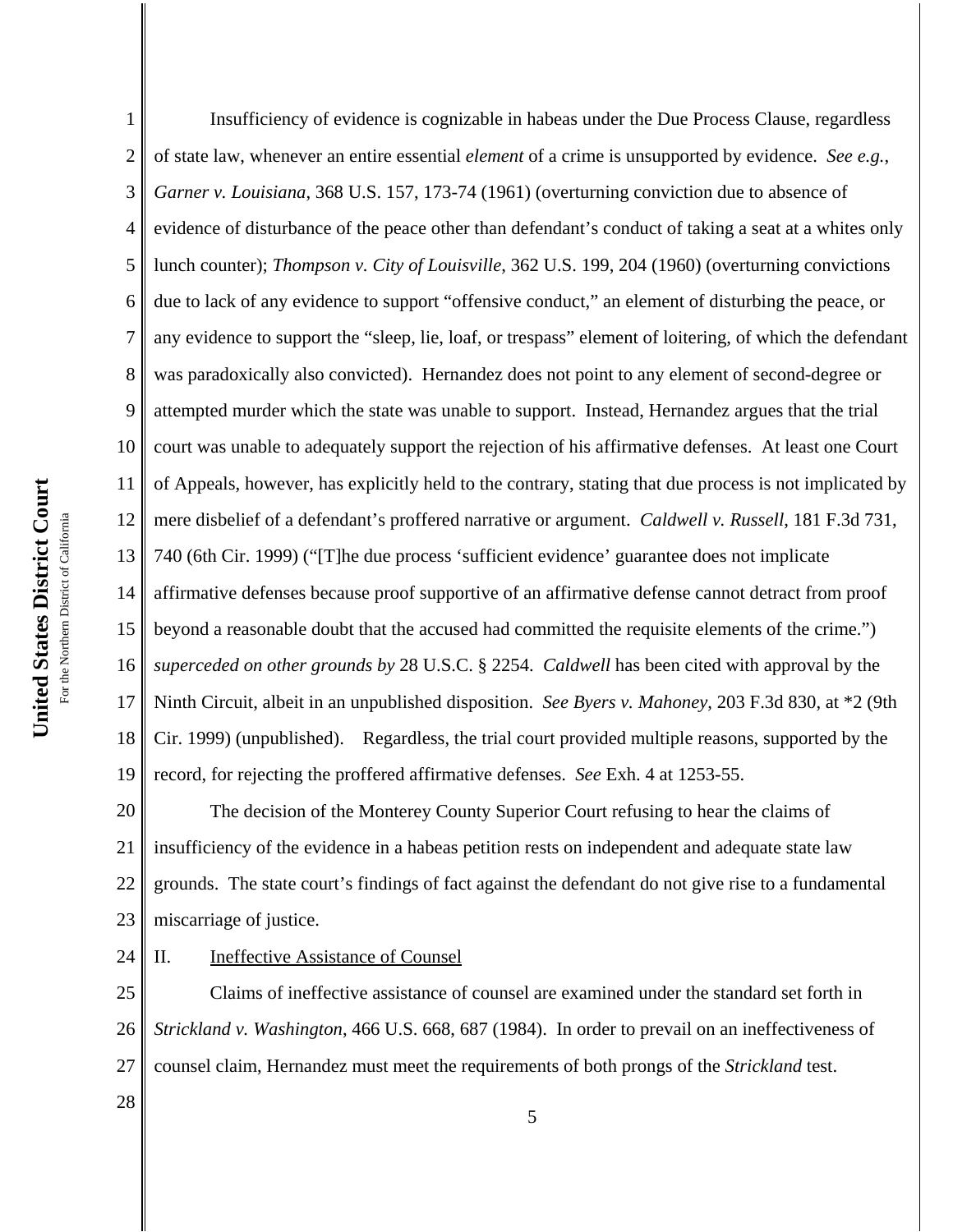1 2 3 4 5 6 7 8 9 10 11 12 13 14 15 16 17 18 19 Insufficiency of evidence is cognizable in habeas under the Due Process Clause, regardless of state law, whenever an entire essential *element* of a crime is unsupported by evidence. *See e.g.*, *Garner v. Louisiana*, 368 U.S. 157, 173-74 (1961) (overturning conviction due to absence of evidence of disturbance of the peace other than defendant's conduct of taking a seat at a whites only lunch counter); *Thompson v. City of Louisville*, 362 U.S. 199, 204 (1960) (overturning convictions due to lack of any evidence to support "offensive conduct," an element of disturbing the peace, or any evidence to support the "sleep, lie, loaf, or trespass" element of loitering, of which the defendant was paradoxically also convicted). Hernandez does not point to any element of second-degree or attempted murder which the state was unable to support. Instead, Hernandez argues that the trial court was unable to adequately support the rejection of his affirmative defenses. At least one Court of Appeals, however, has explicitly held to the contrary, stating that due process is not implicated by mere disbelief of a defendant's proffered narrative or argument. *Caldwell v. Russell*, 181 F.3d 731, 740 (6th Cir. 1999) ("[T]he due process 'sufficient evidence' guarantee does not implicate affirmative defenses because proof supportive of an affirmative defense cannot detract from proof beyond a reasonable doubt that the accused had committed the requisite elements of the crime.") *superceded on other grounds by* 28 U.S.C. § 2254. *Caldwell* has been cited with approval by the Ninth Circuit, albeit in an unpublished disposition. *See Byers v. Mahoney*, 203 F.3d 830, at \*2 (9th Cir. 1999) (unpublished). Regardless, the trial court provided multiple reasons, supported by the record, for rejecting the proffered affirmative defenses. *See* Exh. 4 at 1253-55.

20 21 22 23 The decision of the Monterey County Superior Court refusing to hear the claims of insufficiency of the evidence in a habeas petition rests on independent and adequate state law grounds. The state court's findings of fact against the defendant do not give rise to a fundamental miscarriage of justice.

#### 24 II. Ineffective Assistance of Counsel

28

25 26 27 Claims of ineffective assistance of counsel are examined under the standard set forth in *Strickland v. Washington*, 466 U.S. 668, 687 (1984). In order to prevail on an ineffectiveness of counsel claim, Hernandez must meet the requirements of both prongs of the *Strickland* test.

United States District Court **United States District Court** For the Northern District of California For the Northern District of California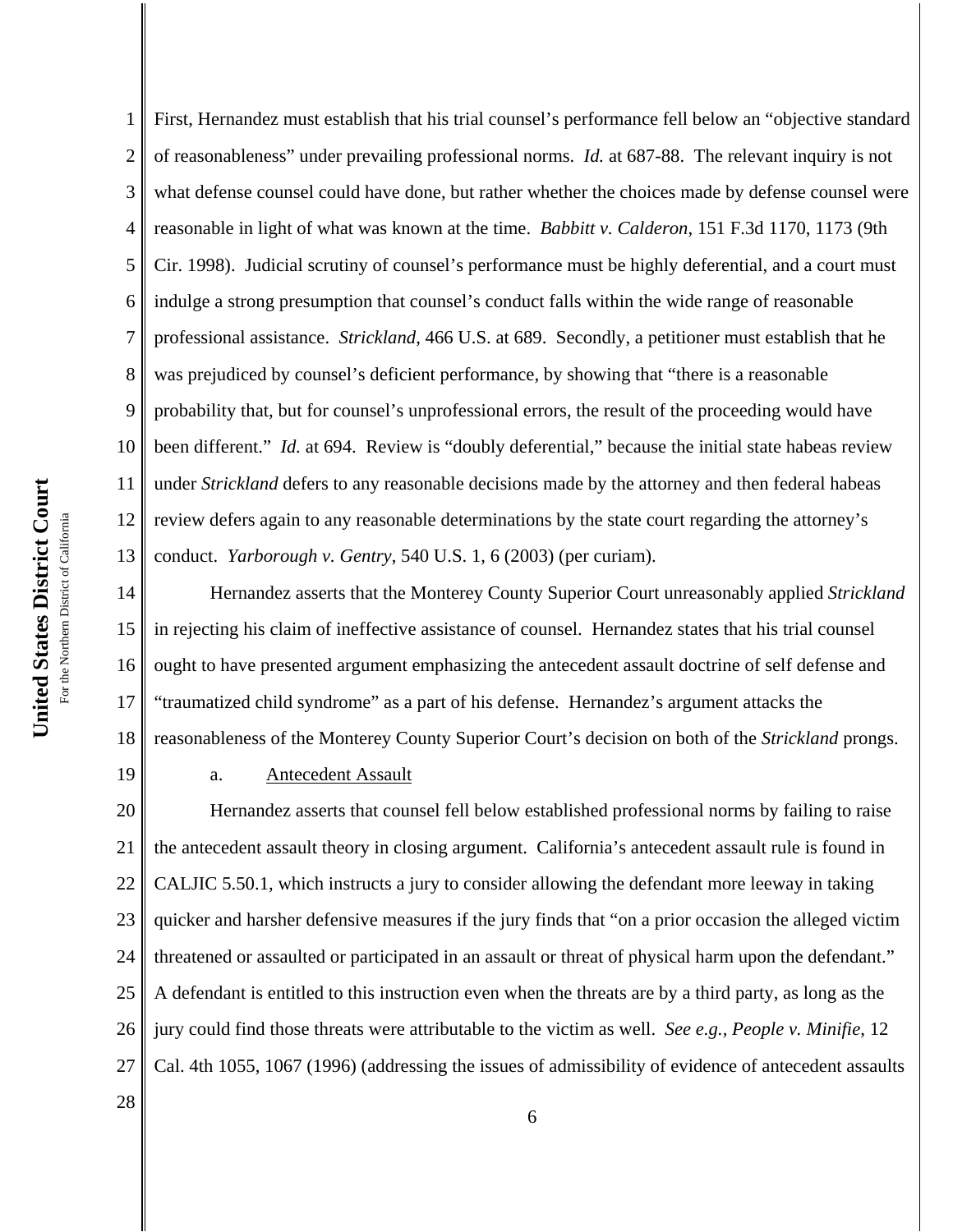2 3 4 5 6 7 8 9 10 11 12 13 14 15 of reasonableness" under prevailing professional norms. *Id.* at 687-88. The relevant inquiry is not what defense counsel could have done, but rather whether the choices made by defense counsel were reasonable in light of what was known at the time. *Babbitt v. Calderon*, 151 F.3d 1170, 1173 (9th Cir. 1998). Judicial scrutiny of counsel's performance must be highly deferential, and a court must indulge a strong presumption that counsel's conduct falls within the wide range of reasonable professional assistance. *Strickland*, 466 U.S. at 689. Secondly, a petitioner must establish that he was prejudiced by counsel's deficient performance, by showing that "there is a reasonable probability that, but for counsel's unprofessional errors, the result of the proceeding would have been different." *Id.* at 694. Review is "doubly deferential," because the initial state habeas review under *Strickland* defers to any reasonable decisions made by the attorney and then federal habeas review defers again to any reasonable determinations by the state court regarding the attorney's conduct. *Yarborough v. Gentry*, 540 U.S. 1, 6 (2003) (per curiam). Hernandez asserts that the Monterey County Superior Court unreasonably applied *Strickland*

16 17 18 in rejecting his claim of ineffective assistance of counsel. Hernandez states that his trial counsel ought to have presented argument emphasizing the antecedent assault doctrine of self defense and "traumatized child syndrome" as a part of his defense. Hernandez's argument attacks the reasonableness of the Monterey County Superior Court's decision on both of the *Strickland* prongs.

First, Hernandez must establish that his trial counsel's performance fell below an "objective standard

19

28

1

# a. Antecedent Assault

20 21 22 23 24 25 26 27 Hernandez asserts that counsel fell below established professional norms by failing to raise the antecedent assault theory in closing argument. California's antecedent assault rule is found in CALJIC 5.50.1, which instructs a jury to consider allowing the defendant more leeway in taking quicker and harsher defensive measures if the jury finds that "on a prior occasion the alleged victim threatened or assaulted or participated in an assault or threat of physical harm upon the defendant." A defendant is entitled to this instruction even when the threats are by a third party, as long as the jury could find those threats were attributable to the victim as well. *See e.g., People v. Minifie*, 12 Cal. 4th 1055, 1067 (1996) (addressing the issues of admissibility of evidence of antecedent assaults

United States District Court **United States District Court** For the Northern District of California For the Northern District of California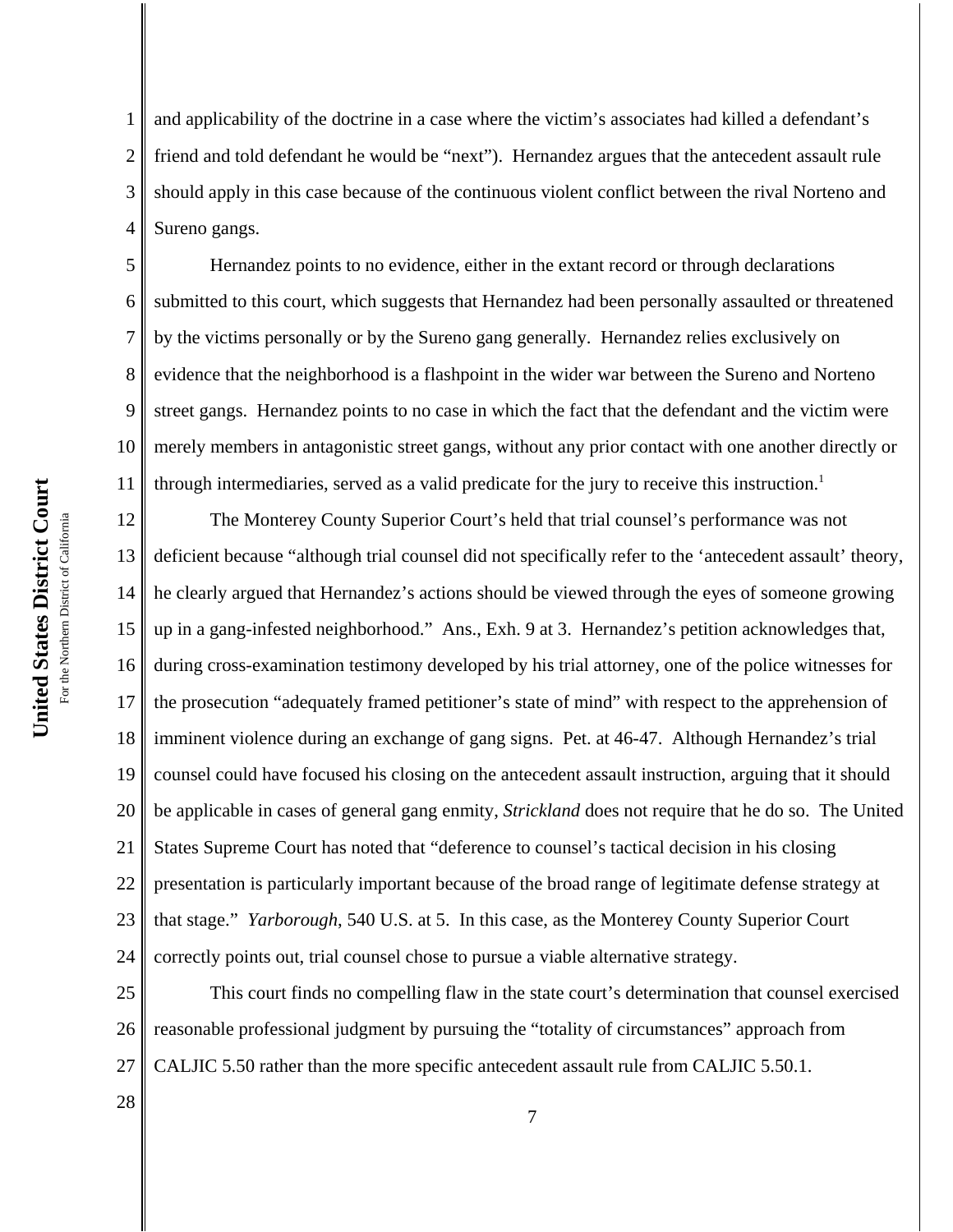1 2 3 4 and applicability of the doctrine in a case where the victim's associates had killed a defendant's friend and told defendant he would be "next"). Hernandez argues that the antecedent assault rule should apply in this case because of the continuous violent conflict between the rival Norteno and Sureno gangs.

5 6 7 8 9 10 11 Hernandez points to no evidence, either in the extant record or through declarations submitted to this court, which suggests that Hernandez had been personally assaulted or threatened by the victims personally or by the Sureno gang generally. Hernandez relies exclusively on evidence that the neighborhood is a flashpoint in the wider war between the Sureno and Norteno street gangs. Hernandez points to no case in which the fact that the defendant and the victim were merely members in antagonistic street gangs, without any prior contact with one another directly or through intermediaries, served as a valid predicate for the jury to receive this instruction.<sup>1</sup>

12 13 14 15 16 17 18 19 20 21 22 23 24 The Monterey County Superior Court's held that trial counsel's performance was not deficient because "although trial counsel did not specifically refer to the 'antecedent assault' theory, he clearly argued that Hernandez's actions should be viewed through the eyes of someone growing up in a gang-infested neighborhood." Ans., Exh. 9 at 3. Hernandez's petition acknowledges that, during cross-examination testimony developed by his trial attorney, one of the police witnesses for the prosecution "adequately framed petitioner's state of mind" with respect to the apprehension of imminent violence during an exchange of gang signs. Pet. at 46-47. Although Hernandez's trial counsel could have focused his closing on the antecedent assault instruction, arguing that it should be applicable in cases of general gang enmity, *Strickland* does not require that he do so. The United States Supreme Court has noted that "deference to counsel's tactical decision in his closing presentation is particularly important because of the broad range of legitimate defense strategy at that stage." *Yarborough*, 540 U.S. at 5. In this case, as the Monterey County Superior Court correctly points out, trial counsel chose to pursue a viable alternative strategy.

25 26 27 This court finds no compelling flaw in the state court's determination that counsel exercised reasonable professional judgment by pursuing the "totality of circumstances" approach from CALJIC 5.50 rather than the more specific antecedent assault rule from CALJIC 5.50.1.

United States District Court **United States District Court** For the Northern District of California For the Northern District of California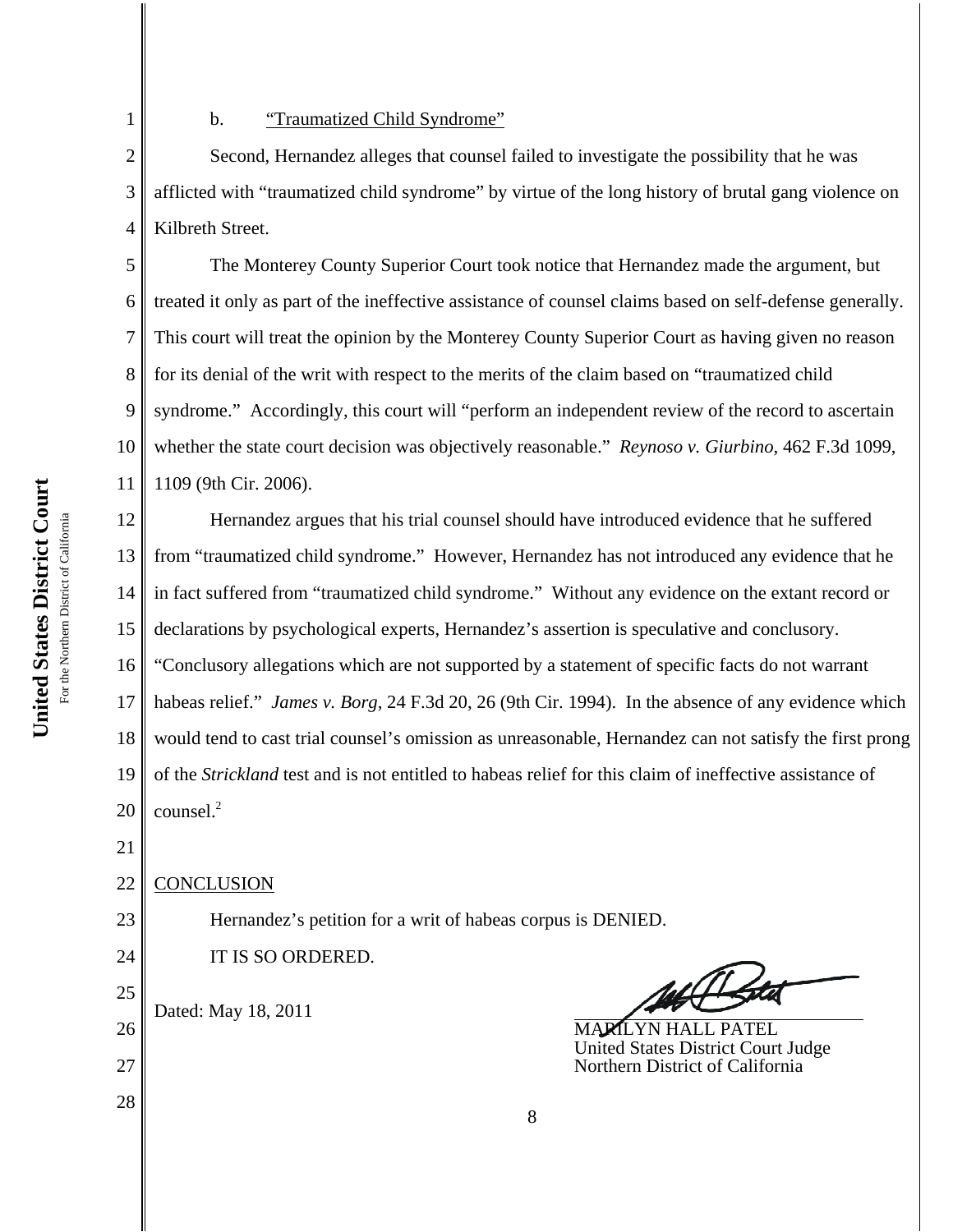2

1

# b. **"Traumatized Child Syndrome"**

3 4 Second, Hernandez alleges that counsel failed to investigate the possibility that he was afflicted with "traumatized child syndrome" by virtue of the long history of brutal gang violence on Kilbreth Street.

5 6 7 8 9 10 11 The Monterey County Superior Court took notice that Hernandez made the argument, but treated it only as part of the ineffective assistance of counsel claims based on self-defense generally. This court will treat the opinion by the Monterey County Superior Court as having given no reason for its denial of the writ with respect to the merits of the claim based on "traumatized child syndrome." Accordingly, this court will "perform an independent review of the record to ascertain whether the state court decision was objectively reasonable." *Reynoso v. Giurbino*, 462 F.3d 1099, 1109 (9th Cir. 2006).

12 13 14 15 Hernandez argues that his trial counsel should have introduced evidence that he suffered from "traumatized child syndrome." However, Hernandez has not introduced any evidence that he in fact suffered from "traumatized child syndrome." Without any evidence on the extant record or declarations by psychological experts, Hernandez's assertion is speculative and conclusory.

16 17 18 19 20 "Conclusory allegations which are not supported by a statement of specific facts do not warrant habeas relief." *James v. Borg*, 24 F.3d 20, 26 (9th Cir. 1994). In the absence of any evidence which would tend to cast trial counsel's omission as unreasonable, Hernandez can not satisfy the first prong of the *Strickland* test and is not entitled to habeas relief for this claim of ineffective assistance of counsel.<sup>2</sup>

Hernandez's petition for a writ of habeas corpus is DENIED.

21

### 22 **CONCLUSION**

Dated: May 18, 2011

IT IS SO ORDERED.

- 23 24
- 25

26

27

28

For the Northern District of California

MARILYN HALL PATEL United States District Court Judge Northern District of California